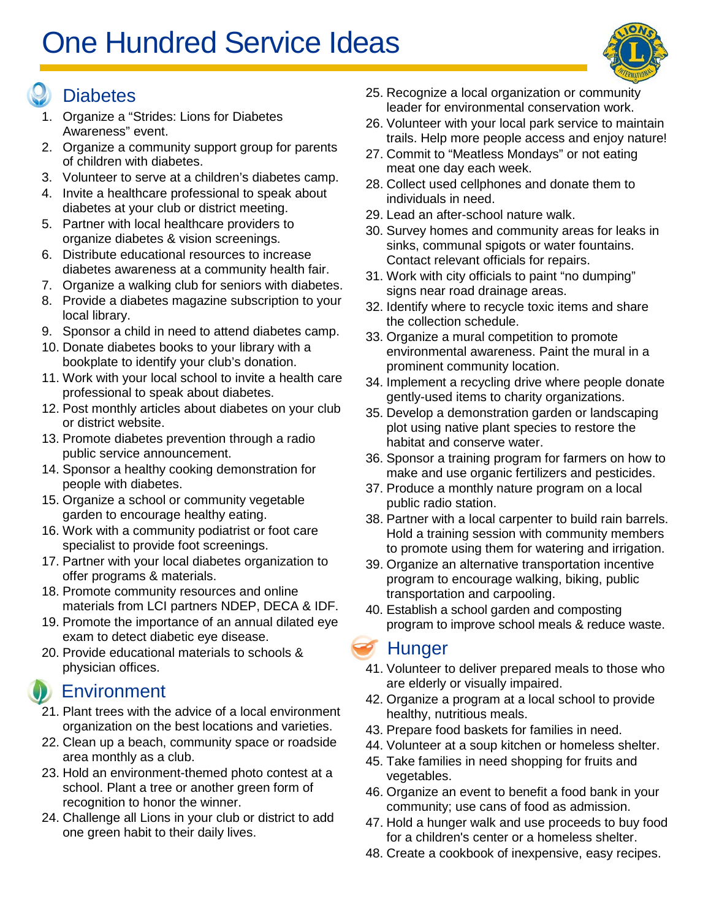# One Hundred Service Ideas

#### **Diabetes**

- 1. Organize a "Strides: Lions for Diabetes Awareness" event.
- 2. Organize a community support group for parents of children with diabetes.
- 3. Volunteer to serve at a children's diabetes camp.
- 4. Invite a healthcare professional to speak about diabetes at your club or district meeting.
- 5. Partner with local healthcare providers to organize diabetes & vision screenings.
- 6. Distribute educational resources to increase diabetes awareness at a community health fair.
- 7. Organize a walking club for seniors with diabetes.
- 8. Provide a diabetes magazine subscription to your local library.
- 9. Sponsor a child in need to attend diabetes camp.
- 10. Donate diabetes books to your library with a bookplate to identify your club's donation.
- 11. Work with your local school to invite a health care professional to speak about diabetes.
- 12. Post monthly articles about diabetes on your club or district website.
- 13. Promote diabetes prevention through a radio public service announcement.
- 14. Sponsor a healthy cooking demonstration for people with diabetes.
- 15. Organize a school or community vegetable garden to encourage healthy eating.
- 16. Work with a community podiatrist or foot care specialist to provide foot screenings.
- 17. Partner with your local diabetes organization to offer programs & materials.
- 18. Promote community resources and online materials from LCI partners NDEP, DECA & IDF.
- 19. Promote the importance of an annual dilated eye exam to detect diabetic eye disease.
- 20. Provide educational materials to schools & physician offices.

## **Environment**

- 21. Plant trees with the advice of a local environment organization on the best locations and varieties.
- 22. Clean up a beach, community space or roadside area monthly as a club.
- 23. Hold an environment-themed photo contest at a school. Plant a tree or another green form of recognition to honor the winner.
- 24. Challenge all Lions in your club or district to add one green habit to their daily lives.
- 25. Recognize a local organization or community leader for environmental conservation work.
- 26. Volunteer with your local park service to maintain trails. Help more people access and enjoy nature!
- 27. Commit to "Meatless Mondays" or not eating meat one day each week.
- 28. Collect used cellphones and donate them to individuals in need.
- 29. Lead an after-school nature walk.
- 30. Survey homes and community areas for leaks in sinks, communal spigots or water fountains. Contact relevant officials for repairs.
- 31. Work with city officials to paint "no dumping" signs near road drainage areas.
- 32. Identify where to recycle toxic items and share the collection schedule.
- 33. Organize a mural competition to promote environmental awareness. Paint the mural in a prominent community location.
- 34. Implement a recycling drive where people donate gently-used items to charity organizations.
- 35. Develop a demonstration garden or landscaping plot using native plant species to restore the habitat and conserve water.
- 36. Sponsor a training program for farmers on how to make and use organic fertilizers and pesticides.
- 37. Produce a monthly nature program on a local public radio station.
- 38. Partner with a local carpenter to build rain barrels. Hold a training session with community members to promote using them for watering and irrigation.
- 39. Organize an alternative transportation incentive program to encourage walking, biking, public transportation and carpooling.
- 40. Establish a school garden and composting program to improve school meals & reduce waste.

#### **Hunger**

- 41. Volunteer to deliver prepared meals to those who are elderly or visually impaired.
- 42. Organize a program at a local school to provide healthy, nutritious meals.
- 43. Prepare food baskets for families in need.
- 44. Volunteer at a soup kitchen or homeless shelter.
- 45. Take families in need shopping for fruits and vegetables.
- 46. Organize an event to benefit a food bank in your community; use cans of food as admission.
- 47. Hold a hunger walk and use proceeds to buy food for a children's center or a homeless shelter.
- 48. Create a cookbook of inexpensive, easy recipes.